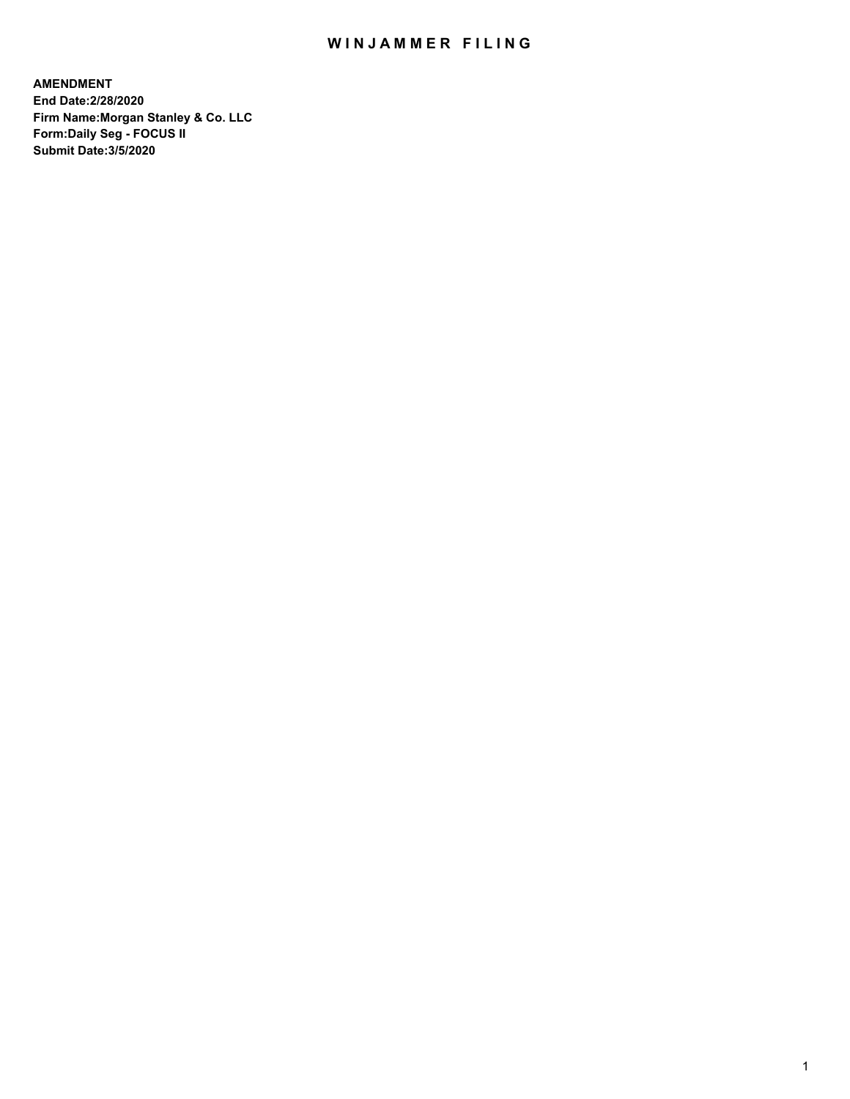## WIN JAMMER FILING

**AMENDMENT End Date:2/28/2020 Firm Name:Morgan Stanley & Co. LLC Form:Daily Seg - FOCUS II Submit Date:3/5/2020**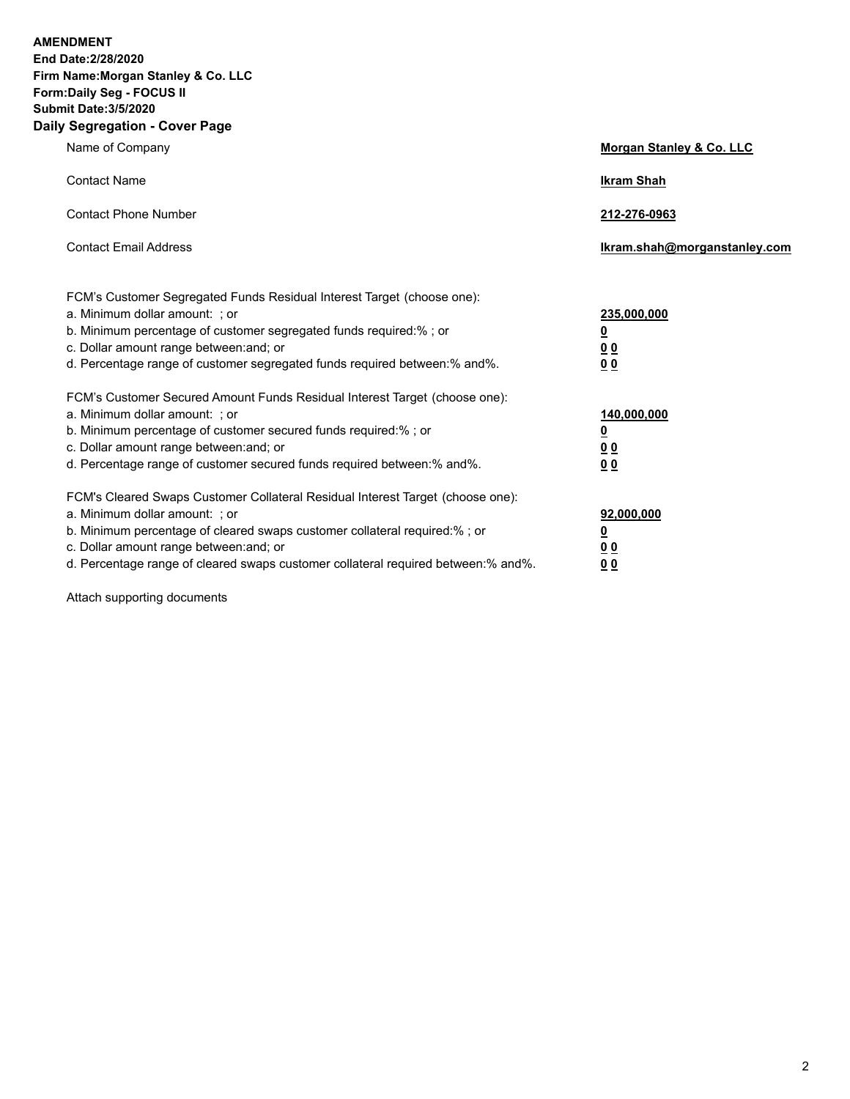**AMENDMENT** 

**End Date:2/28/2020 Firm Name:Morgan Stanley & Co. LLC Form:Daily Seg - FOCUS II Submit Date:3/5/2020 Daily Segregation - Cover Page**

| <b>Ocyregation - Oover Lage</b>                                                   |                              |
|-----------------------------------------------------------------------------------|------------------------------|
| Name of Company                                                                   | Morgan Stanley & Co. LLC     |
| <b>Contact Name</b>                                                               | <b>Ikram Shah</b>            |
| <b>Contact Phone Number</b>                                                       | 212-276-0963                 |
| <b>Contact Email Address</b>                                                      | Ikram.shah@morganstanley.com |
| FCM's Customer Segregated Funds Residual Interest Target (choose one):            |                              |
| a. Minimum dollar amount: ; or                                                    | 235,000,000                  |
| b. Minimum percentage of customer segregated funds required:% ; or                | <u>0</u>                     |
| c. Dollar amount range between: and; or                                           | <u>0 0</u>                   |
| d. Percentage range of customer segregated funds required between:% and%.         | 0 Q                          |
| FCM's Customer Secured Amount Funds Residual Interest Target (choose one):        |                              |
| a. Minimum dollar amount: ; or                                                    | 140,000,000                  |
| b. Minimum percentage of customer secured funds required:%; or                    | <u>0</u>                     |
| c. Dollar amount range between: and; or                                           | 00                           |
| d. Percentage range of customer secured funds required between: % and %.          | 0 <sub>0</sub>               |
| FCM's Cleared Swaps Customer Collateral Residual Interest Target (choose one):    |                              |
| a. Minimum dollar amount: ; or                                                    | 92,000,000                   |
| b. Minimum percentage of cleared swaps customer collateral required:% ; or        | <u>0</u>                     |
| c. Dollar amount range between: and; or                                           | <u>0 0</u>                   |
| d. Percentage range of cleared swaps customer collateral required between:% and%. | 00                           |

Attach supporting documents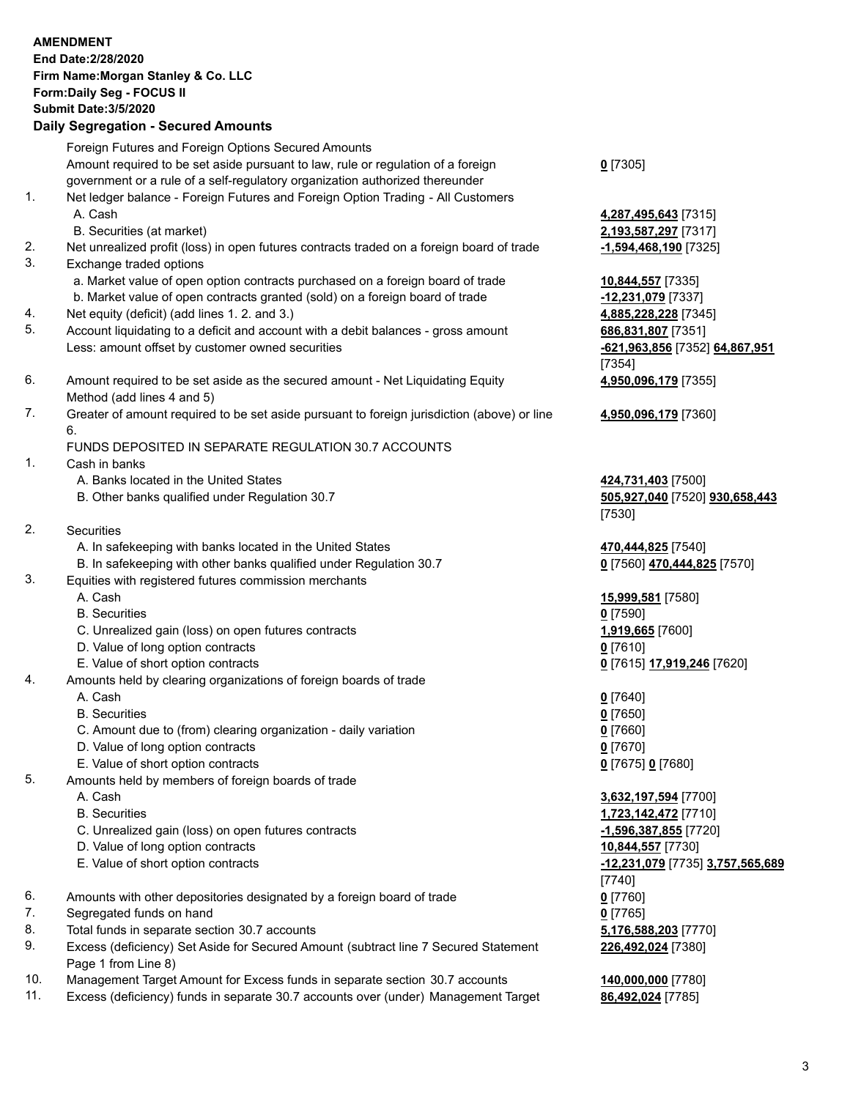|          | <b>AMENDMENT</b><br>End Date: 2/28/2020<br>Firm Name: Morgan Stanley & Co. LLC<br>Form: Daily Seg - FOCUS II<br><b>Submit Date: 3/5/2020</b><br><b>Daily Segregation - Secured Amounts</b> |                                                                |
|----------|--------------------------------------------------------------------------------------------------------------------------------------------------------------------------------------------|----------------------------------------------------------------|
|          | Foreign Futures and Foreign Options Secured Amounts<br>Amount required to be set aside pursuant to law, rule or regulation of a foreign                                                    | $0$ [7305]                                                     |
| 1.       | government or a rule of a self-regulatory organization authorized thereunder<br>Net ledger balance - Foreign Futures and Foreign Option Trading - All Customers                            |                                                                |
|          | A. Cash<br>B. Securities (at market)                                                                                                                                                       | 4,287,495,643 [7315]<br>2,193,587,297 [7317]                   |
| 2.<br>3. | Net unrealized profit (loss) in open futures contracts traded on a foreign board of trade                                                                                                  | -1,594,468,190 <sup>[7325]</sup>                               |
|          | Exchange traded options<br>a. Market value of open option contracts purchased on a foreign board of trade                                                                                  | 10,844,557 [7335]                                              |
| 4.       | b. Market value of open contracts granted (sold) on a foreign board of trade<br>Net equity (deficit) (add lines 1. 2. and 3.)                                                              | -12,231,079 [7337]<br>4,885,228,228 [7345]                     |
| 5.       | Account liquidating to a deficit and account with a debit balances - gross amount<br>Less: amount offset by customer owned securities                                                      | 686,831,807 [7351]<br>-621,963,856 [7352] 64,867,951<br>[7354] |
| 6.       | Amount required to be set aside as the secured amount - Net Liquidating Equity<br>Method (add lines 4 and 5)                                                                               | 4,950,096,179 [7355]                                           |
| 7.       | Greater of amount required to be set aside pursuant to foreign jurisdiction (above) or line<br>6.                                                                                          | 4,950,096,179 [7360]                                           |
| 1.       | FUNDS DEPOSITED IN SEPARATE REGULATION 30.7 ACCOUNTS<br>Cash in banks                                                                                                                      |                                                                |
|          | A. Banks located in the United States                                                                                                                                                      | 424,731,403 [7500]                                             |
|          | B. Other banks qualified under Regulation 30.7                                                                                                                                             | 505,927,040 [7520] 930,658,443<br>[7530]                       |
| 2.       | Securities                                                                                                                                                                                 |                                                                |
|          | A. In safekeeping with banks located in the United States<br>B. In safekeeping with other banks qualified under Regulation 30.7                                                            | 470,444,825 [7540]                                             |
| 3.       | Equities with registered futures commission merchants                                                                                                                                      | 0 [7560] 470,444,825 [7570]                                    |
|          | A. Cash                                                                                                                                                                                    | 15,999,581 [7580]                                              |
|          | <b>B.</b> Securities                                                                                                                                                                       | $0$ [7590]                                                     |
|          | C. Unrealized gain (loss) on open futures contracts                                                                                                                                        | 1,919,665 [7600]                                               |
|          | D. Value of long option contracts                                                                                                                                                          | 0 <sup>[7610]</sup>                                            |
| 4.       | E. Value of short option contracts<br>Amounts held by clearing organizations of foreign boards of trade                                                                                    | 0 [7615] 17,919,246 [7620]                                     |
|          | A. Cash                                                                                                                                                                                    | 0 <sup>[7640]</sup>                                            |
|          | <b>B.</b> Securities                                                                                                                                                                       | $0$ [7650]                                                     |
|          | C. Amount due to (from) clearing organization - daily variation                                                                                                                            | $0$ [7660]                                                     |
|          | D. Value of long option contracts                                                                                                                                                          | $0$ [7670]                                                     |
|          | E. Value of short option contracts                                                                                                                                                         | 0 [7675] 0 [7680]                                              |
| 5.       | Amounts held by members of foreign boards of trade                                                                                                                                         |                                                                |
|          | A. Cash<br><b>B.</b> Securities                                                                                                                                                            | 3,632,197,594 [7700]                                           |
|          | C. Unrealized gain (loss) on open futures contracts                                                                                                                                        | 1,723,142,472 [7710]<br>-1,596,387,855 [7720]                  |
|          | D. Value of long option contracts                                                                                                                                                          | 10,844,557 [7730]                                              |
|          | E. Value of short option contracts                                                                                                                                                         | <u>-12,231,079</u> [7735] 3,757,565,689                        |
|          |                                                                                                                                                                                            | [7740]                                                         |
| 6.<br>7. | Amounts with other depositories designated by a foreign board of trade<br>Segregated funds on hand                                                                                         | $0$ [7760]                                                     |
| 8.       | Total funds in separate section 30.7 accounts                                                                                                                                              | $0$ [7765]<br>5,176,588,203 [7770]                             |
| 9.       | Excess (deficiency) Set Aside for Secured Amount (subtract line 7 Secured Statement<br>Page 1 from Line 8)                                                                                 | 226,492,024 [7380]                                             |
| 10.      | Management Target Amount for Excess funds in separate section 30.7 accounts                                                                                                                | 140,000,000 [7780]                                             |
| 11.      | Excess (deficiency) funds in separate 30.7 accounts over (under) Management Target                                                                                                         | 86,492,024 [7785]                                              |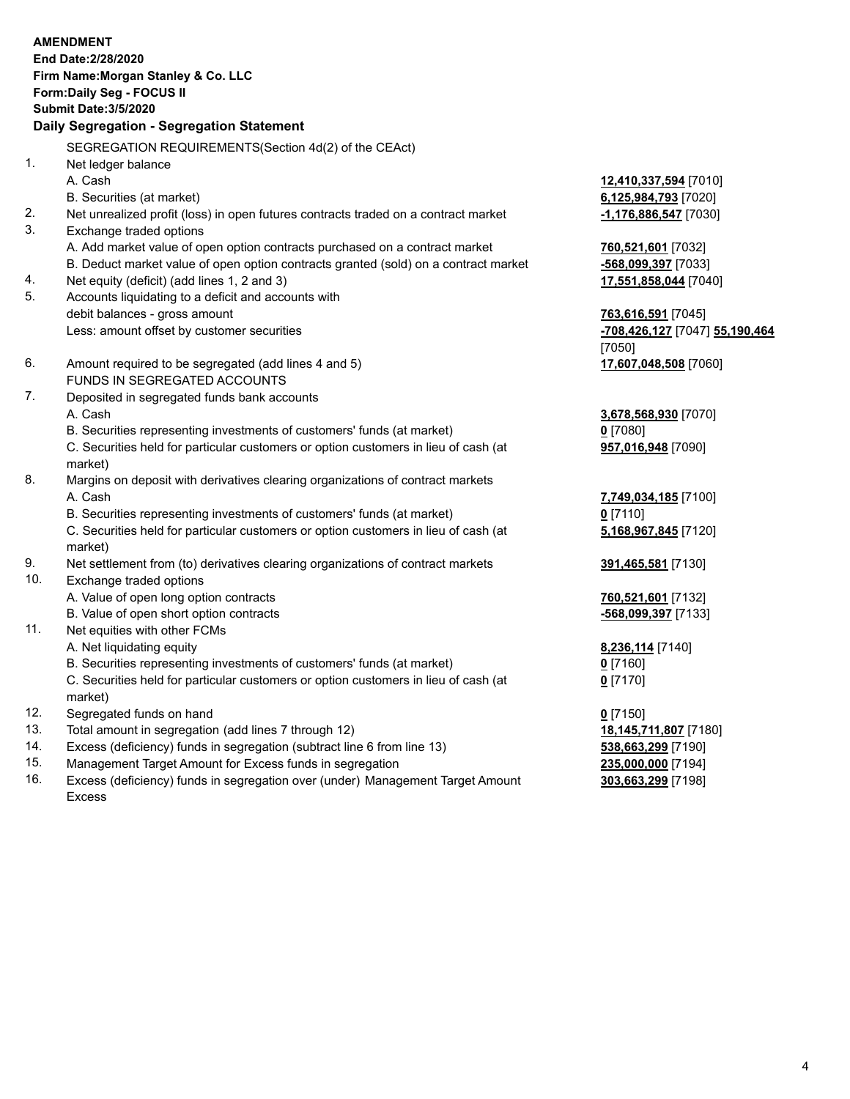|     | <b>AMENDMENT</b>                                                                    |                                |
|-----|-------------------------------------------------------------------------------------|--------------------------------|
|     | End Date: 2/28/2020                                                                 |                                |
|     | Firm Name: Morgan Stanley & Co. LLC                                                 |                                |
|     | Form: Daily Seg - FOCUS II                                                          |                                |
|     | <b>Submit Date: 3/5/2020</b>                                                        |                                |
|     | Daily Segregation - Segregation Statement                                           |                                |
|     | SEGREGATION REQUIREMENTS(Section 4d(2) of the CEAct)                                |                                |
| 1.  | Net ledger balance                                                                  |                                |
|     | A. Cash                                                                             | 12,410,337,594 [7010]          |
|     | B. Securities (at market)                                                           | 6,125,984,793 [7020]           |
| 2.  | Net unrealized profit (loss) in open futures contracts traded on a contract market  | $-1,176,886,547$ [7030]        |
| 3.  | Exchange traded options                                                             |                                |
|     | A. Add market value of open option contracts purchased on a contract market         | 760,521,601 [7032]             |
|     | B. Deduct market value of open option contracts granted (sold) on a contract market | -568,099,397 [7033]            |
| 4.  | Net equity (deficit) (add lines 1, 2 and 3)                                         | 17,551,858,044 [7040]          |
| 5.  | Accounts liquidating to a deficit and accounts with                                 |                                |
|     | debit balances - gross amount                                                       | 763,616,591 [7045]             |
|     | Less: amount offset by customer securities                                          | -708,426,127 [7047] 55,190,464 |
|     |                                                                                     | $[7050]$                       |
| 6.  | Amount required to be segregated (add lines 4 and 5)                                | 17,607,048,508 [7060]          |
|     | FUNDS IN SEGREGATED ACCOUNTS                                                        |                                |
| 7.  | Deposited in segregated funds bank accounts                                         |                                |
|     | A. Cash                                                                             | 3,678,568,930 [7070]           |
|     | B. Securities representing investments of customers' funds (at market)              | $0$ [7080]                     |
|     | C. Securities held for particular customers or option customers in lieu of cash (at | 957,016,948 [7090]             |
|     | market)                                                                             |                                |
| 8.  | Margins on deposit with derivatives clearing organizations of contract markets      |                                |
|     | A. Cash                                                                             | 7,749,034,185 [7100]           |
|     | B. Securities representing investments of customers' funds (at market)              | $0$ [7110]                     |
|     | C. Securities held for particular customers or option customers in lieu of cash (at | 5,168,967,845 [7120]           |
|     | market)                                                                             |                                |
| 9.  | Net settlement from (to) derivatives clearing organizations of contract markets     | 391,465,581 [7130]             |
| 10. | Exchange traded options                                                             |                                |
|     | A. Value of open long option contracts                                              | 760,521,601 [7132]             |
|     | B. Value of open short option contracts                                             | -568,099,397 [7133]            |
| 11. | Net equities with other FCMs                                                        |                                |
|     | A. Net liquidating equity                                                           | 8,236,114 [7140]               |
|     | B. Securities representing investments of customers' funds (at market)              | $0$ [7160]                     |
|     | C. Securities held for particular customers or option customers in lieu of cash (at | $0$ [7170]                     |
|     | market)                                                                             |                                |
| 12. | Segregated funds on hand                                                            | $0$ [7150]                     |
| 13. | Total amount in segregation (add lines 7 through 12)                                | 18,145,711,807 [7180]          |
| 14. | Excess (deficiency) funds in segregation (subtract line 6 from line 13)             | 538,663,299 [7190]             |
| 15. | Management Target Amount for Excess funds in segregation                            | 235,000,000 [7194]             |
| 16. | Excess (deficiency) funds in segregation over (under) Management Target Amount      | 303,663,299 [7198]             |

15. Management Target Amount for Excess funds in segregation<br>16. Excess (deficiency) funds in segregation over (under) Manag Excess (deficiency) funds in segregation over (under) Management Target Amount Excess